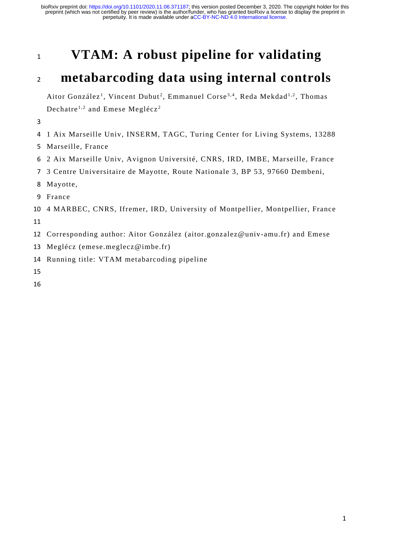# **VTAM: A robust pipeline for validating**

# **metabarcoding data using internal controls**

Aitor González<sup>1</sup>, Vincent Dubut<sup>2</sup>, Emmanuel Corse<sup>3,4</sup>, Reda Mekdad<sup>1,2</sup>, Thomas Dechatre<sup>1,2</sup> and Emese Meglécz<sup>2</sup>

- 1 Aix Marseille Univ, INSERM, TAGC, Turing Center for Living Systems, 13288
- Marseille, France
- 2 Aix Marseille Univ, Avignon Université, CNRS, IRD, IMBE, Marseille, France
- 3 Centre Universitaire de Mayotte, Route Nationale 3, BP 53, 97660 Dembeni,
- Mayotte,
- France
- 4 MARBEC, CNRS, Ifremer, IRD, University of Montpellier, Montpellier, France
- Corresponding author: Aitor González (aitor.gonzalez@univ-amu.fr) and Emese
- Meglécz (emese.meglecz@imbe.fr)
- Running title: VTAM metabarcoding pipeline
- 
-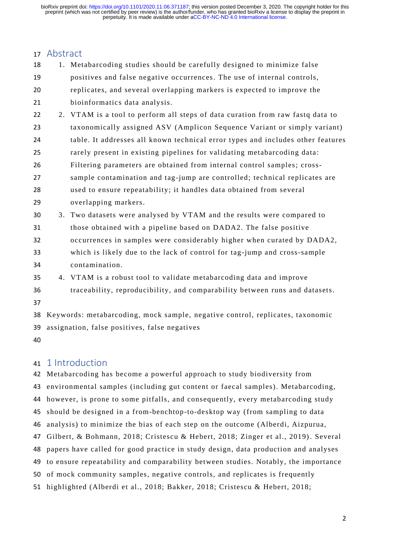## Abstract

| 18 |                                               | 1. Metabarcoding studies should be carefully designed to minimize false         |  |  |  |
|----|-----------------------------------------------|---------------------------------------------------------------------------------|--|--|--|
| 19 |                                               | positives and false negative occurrences. The use of internal controls,         |  |  |  |
| 20 |                                               | replicates, and several overlapping markers is expected to improve the          |  |  |  |
| 21 |                                               | bioinformatics data analysis.                                                   |  |  |  |
| 22 |                                               | 2. VTAM is a tool to perform all steps of data curation from raw fastq data to  |  |  |  |
| 23 |                                               | taxonomically assigned ASV (Amplicon Sequence Variant or simply variant)        |  |  |  |
| 24 |                                               | table. It addresses all known technical error types and includes other features |  |  |  |
| 25 |                                               | rarely present in existing pipelines for validating metabarcoding data:         |  |  |  |
| 26 |                                               | Filtering parameters are obtained from internal control samples; cross-         |  |  |  |
| 27 |                                               | sample contamination and tag-jump are controlled; technical replicates are      |  |  |  |
| 28 |                                               | used to ensure repeatability; it handles data obtained from several             |  |  |  |
| 29 |                                               | overlapping markers.                                                            |  |  |  |
| 30 |                                               | 3. Two datasets were analysed by VTAM and the results were compared to          |  |  |  |
| 31 |                                               | those obtained with a pipeline based on DADA2. The false positive               |  |  |  |
| 32 |                                               | occurrences in samples were considerably higher when curated by DADA2,          |  |  |  |
| 33 |                                               | which is likely due to the lack of control for tag-jump and cross-sample        |  |  |  |
| 34 |                                               | contamination.                                                                  |  |  |  |
| 35 |                                               | 4. VTAM is a robust tool to validate metabarcoding data and improve             |  |  |  |
| 36 |                                               | traceability, reproducibility, and comparability between runs and datasets.     |  |  |  |
| 37 |                                               |                                                                                 |  |  |  |
| 38 |                                               | Keywords: metabarcoding, mock sample, negative control, replicates, taxonomic   |  |  |  |
| 39 | assignation, false positives, false negatives |                                                                                 |  |  |  |
|    |                                               |                                                                                 |  |  |  |

## 1 Introduction

 Metabarcoding has become a powerful approach to study biodiversity from environmental samples (including gut content or faecal samples). Metabarcoding, however, is prone to some pitfalls, and consequently, every metabarcoding study should be designed in a from-benchtop-to-desktop way (from sampling to data analysis) to minimize the bias of each step on the outcome (Alberdi, Aizpurua, Gilbert, & Bohmann, 2018; Cristescu & Hebert, 2018; Zinger et al., 2019). Several papers have called for good practice in study design, data production and analyses to ensure repeatability and comparability between studies. Notably, the importance of mock community samples, negative controls, and replicates is frequently highlighted (Alberdi et al., 2018; Bakker, 2018; Cristescu & Hebert, 2018;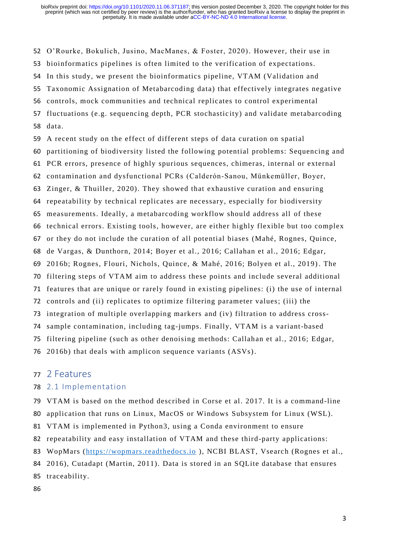O'Rourke, Bokulich, Jusino, MacManes, & Foster, 2020). However, their use in bioinformatics pipelines is often limited to the verification of expectations. In this study, we present the bioinformatics pipeline, VTAM (Validation and Taxonomic Assignation of Metabarcoding data) that effectively integrates negative controls, mock communities and technical replicates to control experimental 57 fluctuations (e.g. sequencing depth, PCR stochasticity) and validate metabarcoding data. A recent study on the effect of different steps of data curation on spatial partitioning of biodiversity listed the following potential problems: Sequencing and PCR errors, presence of highly spurious sequences, chimeras, internal or external contamination and dysfunctional PCRs (Calderón‐Sanou, Münkemüller, Boyer, Zinger, & Thuiller, 2020). They showed that exhaustive curation and ensuring repeatability by technical replicates are necessary, especially for biodiversity measurements. Ideally, a metabarcoding workflow should address all of these technical errors. Existing tools, however, are either highly flexible but too complex or they do not include the curation of all potential biases (Mahé, Rognes, Quince, de Vargas, & Dunthorn, 2014; Boyer et al., 2016; Callahan et al., 2016; Edgar, 2016b; Rognes, Flouri, Nichols, Quince, & Mahé, 2016; Bolyen et al., 2019). The filtering steps of VTAM aim to address these points and include several additional features that are unique or rarely found in existing pipelines: (i) the use of internal controls and (ii) replicates to optimize filtering parameter values; (iii) the integration of multiple overlapping markers and (iv) filtration to address cross- sample contamination, including tag-jumps. Finally, VTAM is a variant-based filtering pipeline (such as other denoising methods: Callahan et al., 2016; Edgar, 2016b) that deals with amplicon sequence variants (ASVs).

#### 2 Features

#### 2.1 Implementation

 VTAM is based on the method described in Corse et al. 2017. It is a command-line application that runs on Linux, MacOS or Windows Subsystem for Linux (WSL). VTAM is implemented in Python3, using a Conda environment to ensure repeatability and easy installation of VTAM and these third-party applications: WopMars [\(https://wopmars.readthedocs.io](https://wopmars.readthedocs.io/) ), NCBI BLAST, Vsearch (Rognes et al.,

- 2016), Cutadapt (Martin, 2011). Data is stored in an SQLite database that ensures
- traceability.
-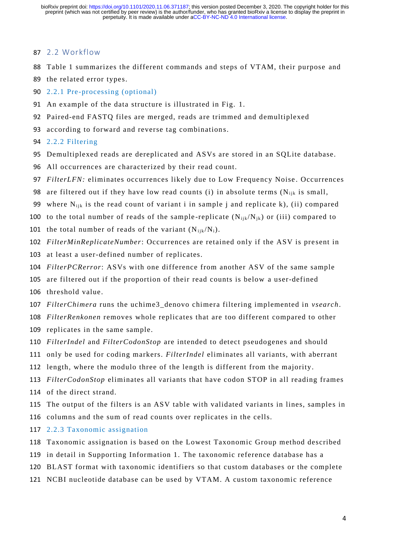#### 2.2 Workflow

- Table 1 summarizes the different commands and steps of VTAM, their purpose and
- the related error types.
- 2.2.1 Pre-processing (optional)
- An example of the data structure is illustrated in Fig. 1.
- Paired-end FASTQ files are merged, reads are trimmed and demultiplexed
- 93 according to forward and reverse tag combinations.

2.2.2 Filtering

- Demultiplexed reads are dereplicated and ASVs are stored in an SQLite database.
- All occurrences are characterized by their read count.
- *FilterLFN:* eliminates occurrences likely due to Low Frequency Noise . Occurrences
- 98 are filtered out if they have low read counts (i) in absolute terms ( $N_{ijk}$  is small,
- 99 where  $N_{ijk}$  is the read count of variant i in sample j and replicate k), (ii) compared
- 100 to the total number of reads of the sample-replicate  $(N_{ijk}/N_{jk})$  or (iii) compared to
- 101 the total number of reads of the variant  $(N_{ijk}/N_i)$ .
- *FilterMinReplicateNumber*: Occurrences are retained only if the ASV is pre sent in
- at least a user-defined number of replicates.
- *FilterPCRerror*: ASVs with one difference from another ASV of the same sample
- are filtered out if the proportion of their read counts is below a user-defined
- threshold value.
- *FilterChimera* runs the uchime3\_denovo chimera filtering implemented in *vsearch*.
- *FilterRenkonen* removes whole replicates that are too different compared to other
- replicates in the same sample.
- *FilterIndel* and *FilterCodonStop* are intended to detect pseudogenes and should
- only be used for coding markers. *FilterIndel* eliminates all variants, with aberrant
- length, where the modulo three of the length is different from the majority.
- *FilterCodonStop* eliminates all variants that have codon STOP in all reading frames of the direct strand.
- 115 The output of the filters is an ASV table with validated variants in lines, samples in
- columns and the sum of read counts over replicates in the cells.
- 2.2.3 Taxonomic assignation
- Taxonomic assignation is based on the Lowest Taxonomic Group method described
- in detail in Supporting Information 1. The taxonomic reference database has a
- BLAST format with taxonomic identifiers so that custom databases or the complete
- NCBI nucleotide database can be used by VTAM. A custom taxonomic reference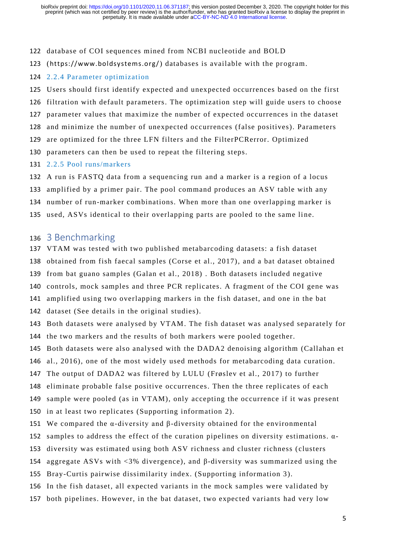#### database of COI sequences mined from NCBI nucleotide and BOLD

- 123 (<https://www.boldsystems.org/>) databases is available with the program.
- 2.2.4 Parameter optimization

 Users should first identify expected and unexpected occurrences based on the first filtration with default parameters. The optimization step will guide users to choose parameter values that maximize the number of expected occurrences in the dataset and minimize the number of unexpected occurrences (false positives). Parameters are optimized for the three LFN filters and the FilterPCRerror. Optimized parameters can then be used to repeat the filtering steps. 2.2.5 Pool runs/markers

 A run is FASTQ data from a sequencing run and a marker is a region of a locus amplified by a primer pair. The pool command produces an ASV table with any

number of run-marker combinations. When more than one overlapping marker is

135 used, ASVs identical to their overlapping parts are pooled to the same line.

### 3 Benchmarking

- VTAM was tested with two published metabarcoding datasets: a fish dataset obtained from fish faecal samples (Corse et al., 2017), and a bat dataset obtained from bat guano samples (Galan et al., 2018) . Both datasets included negative controls, mock samples and three PCR replicates. A fragment of the COI gene was amplified using two overlapping markers in the fish dataset, and one in the bat
- dataset (See details in the original studies).
- Both datasets were analysed by VTAM. The fish dataset was analysed separately for the two markers and the results of both markers were pooled together.
- Both datasets were also analysed with the DADA2 denoising algorithm (Callahan et
- al., 2016), one of the most widely used methods for metabarcoding data curation.
- The output of DADA2 was filtered by LULU (Frøslev et al., 2017) to further
- eliminate probable false positive occurrences. Then the three replicates of each
- sample were pooled (as in VTAM), only accepting the occurrence if it was present
- in at least two replicates (Supporting information 2).
- We compared the α-diversity and β-diversity obtained for the environmental
- 152 samples to address the effect of the curation pipelines on diversity estimations.  $\alpha$ -
- diversity was estimated using both ASV richness and cluster richness ( clusters
- aggregate ASVs with <3% divergence), and β-diversity was summarized using the
- Bray-Curtis pairwise dissimilarity index. (Supporting information 3).
- In the fish dataset, all expected variants in the mock samples were validated by
- both pipelines. However, in the bat dataset, two expected variants had very low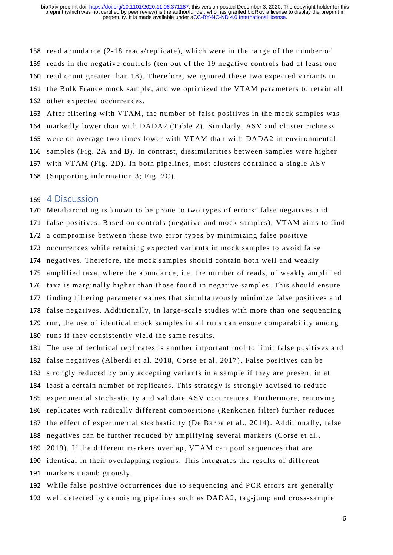read abundance (2-18 reads/replicate), which were in the range of the number of reads in the negative controls (ten out of the 19 negative controls had at least one read count greater than 18). Therefore, we ignored these two expected variants in the Bulk France mock sample, and we optimized the VTAM parameters to retain all other expected occurrences.

 After filtering with VTAM, the number of false positives in the mock samples was markedly lower than with DADA2 (Table 2). Similarly, ASV and cluster richness were on average two times lower with VTAM than with DADA2 in environmental samples (Fig. 2A and B). In contrast, dissimilarities between samples were higher with VTAM (Fig. 2D). In both pipelines, most clusters contained a single ASV (Supporting information 3; Fig. 2C).

### 4 Discussion

 Metabarcoding is known to be prone to two types of errors: false negatives and false positives. Based on controls (negative and mock samples), VTAM aims to find a compromise between these two error types by minimizing false positive occurrences while retaining expected variants in mock samples to avoid false negatives. Therefore, the mock samples should contain both well and weakly amplified taxa, where the abundance, i.e. the number of reads, of weakly amplified taxa is marginally higher than those found in negative samples. This should ensure finding filtering parameter values that simultaneously minimize false positives and false negatives. Additionally, in large-scale studies with more than one sequencing run, the use of identical mock samples in all runs can ensure comparability among runs if they consistently yield the same results.

 The use of technical replicates is another important tool to limit false positives and false negatives (Alberdi et al. 2018, Corse et al. 2017). False positives can be strongly reduced by only accepting variants in a sample if they are present in at least a certain number of replicates. This strategy is strongly advised to reduce experimental stochasticity and validate ASV occurrences. Furthermore, removing replicates with radically different compositions (Renkonen filter) further reduces the effect of experimental stochasticity (De Barba et al., 2014). Additionally, false negatives can be further reduced by amplifying several markers (Corse et al., 2019). If the different markers overlap, VTAM can pool sequences that are identical in their overlapping regions. This integrates the results of different markers unambiguously.

 While false positive occurrences due to sequencing and PCR errors are generally well detected by denoising pipelines such as DADA2, tag-jump and cross-sample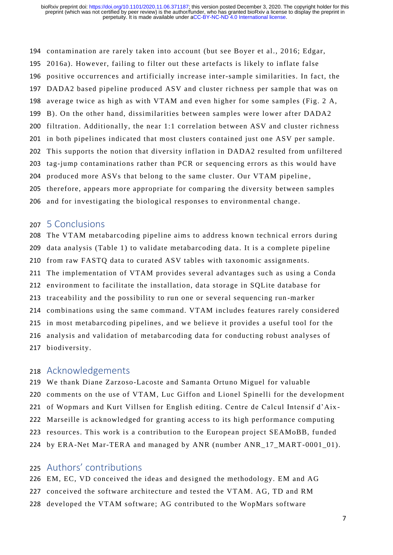contamination are rarely taken into account (but see Boyer et al., 2016; Edgar, 2016a). However, failing to filter out these artefacts is likely to inflate false positive occurrences and artificially increase inter-sample similarities. In fact, the DADA2 based pipeline produced ASV and cluster richness per sample that was on average twice as high as with VTAM and even higher for some samples (Fig. 2 A, B). On the other hand, dissimilarities between samples were lower after DADA2 filtration. Additionally, the near 1:1 correlation between ASV and cluster richness in both pipelines indicated that most clusters contained just one ASV per sample. This supports the notion that diversity inflation in DADA2 resulted from unfiltered tag-jump contaminations rather than PCR or sequencing errors as this would have 204 produced more ASVs that belong to the same cluster. Our VTAM pipeline, 205 therefore, appears more appropriate for comparing the diversity between samples and for investigating the biological response s to environmental change.

#### 5 Conclusions

 The VTAM metabarcoding pipeline aims to address known technical errors during data analysis (Table 1) to validate metabarcoding data . It is a complete pipeline from raw FASTQ data to curated ASV tables with taxonomic assignments. The implementation of VTAM provides several advantages such as using a Conda environment to facilitate the installation, data storage in SQLite database for traceability and the possibility to run one or several sequencing run -marker combinations using the same command. VTAM includes features rarely considered in most metabarcoding pipelines, and we believe it provides a useful tool for the analysis and validation of metabarcoding data for conducting robust analyses of biodiversity.

### Acknowledgements

 We thank Diane Zarzoso-Lacoste and Samanta Ortuno Miguel for valuable comments on the use of VTAM, Luc Giffon and Lionel Spinelli for the development of Wopmars and Kurt Villsen for English editing. Centre de Calcul Intensif d'Aix - Marseille is acknowledged for granting access to its high performance computing 223 resources. This work is a contribution to the European project SEAMoBB, funded by ERA-Net Mar-TERA and managed by ANR (number ANR\_17\_MART-0001\_01).

## Authors' contributions

 EM, EC, VD conceived the ideas and designed the methodology. EM and AG conceived the software architecture and tested the VTAM. AG, TD and RM developed the VTAM software; AG contributed to the WopMars software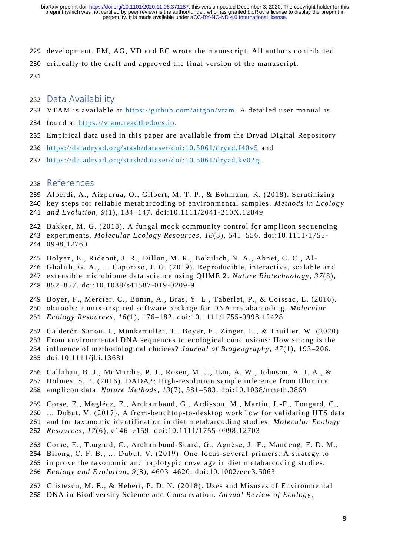- development. EM, AG, VD and EC wrote the manuscript. All authors contributed
- critically to the draft and approved the final version of the manuscript.

- Data Availability
- VTAM is available at [https://github.com/aitgon/vtam.](https://github.com/aitgon/vtam) A detailed user manual is
- found at [https://vtam.readthedocs.io.](https://vtam.readthedocs.io/)
- Empirical data used in this paper are available from the Dryad Digital Repository
- <https://datadryad.org/stash/dataset/doi:10.5061/dryad.f40v5> and
- <https://datadryad.org/stash/dataset/doi:10.5061/dryad.kv02g> .
- References
- Alberdi, A., Aizpurua, O., Gilbert, M. T. P., & Bohmann, K. (2018). Scrutinizing
- key steps for reliable metabarcoding of environmental samples. *Methods in Ecology and Evolution*, *9*(1), 134–147. doi:10.1111/2041-210X.12849
- 
- Bakker, M. G. (2018). A fungal mock community control for amplicon sequencing experiments. *Molecular Ecology Resources*, *18*(3), 541–556. doi:10.1111/1755- 0998.12760
- Bolyen, E., Rideout, J. R., Dillon, M. R., Bokulich, N. A., Abnet, C. C., Al-
- Ghalith, G. A., … Caporaso, J. G. (2019). Reproducible, interactive, scalable and extensible microbiome data science using QIIME 2. *Nature Biotechnology*, *37*(8), 852–857. doi:10.1038/s41587-019-0209-9
- Boyer, F., Mercier, C., Bonin, A., Bras, Y. L., Taberlet, P., & Coissac , E. (2016). obitools: a unix-inspired software package for DNA metabarcoding. *Molecular Ecology Resources*, *16*(1), 176–182. doi:10.1111/1755-0998.12428
- Calderón‐Sanou, I., Münkemüller, T., Boyer, F., Zinger, L., & Thuiller, W. (2020).
- From environmental DNA sequences to ecological conclusions: How strong is the
- influence of methodological choices? *Journal of Biogeography*, *47*(1), 193–206.
- doi:10.1111/jbi.13681
- Callahan, B. J., McMurdie, P. J., Rosen, M. J., Han, A. W., Johnson, A. J. A., &
- Holmes, S. P. (2016). DADA2: High-resolution sample inference from Illumina
- amplicon data. *Nature Methods*, *13*(7), 581–583. doi:10.1038/nmeth.3869
- Corse, E., Meglécz, E., Archambaud, G., Ardisson, M., Martin, J.-F., Tougard, C.,
- … Dubut, V. (2017). A from-benchtop-to-desktop workflow for validating HTS data

and for taxonomic identification in diet metabarcoding studies. *Molecular Ecology* 

- *Resources*, *17*(6), e146–e159. doi:10.1111/1755-0998.12703
- Corse, E., Tougard, C., Archambaud‐Suard, G., Agnèse, J.-F., Mandeng, F. D. M.,
- Bilong, C. F. B., … Dubut, V. (2019). One -locus-several-primers: A strategy to
- improve the taxonomic and haplotypic coverage in diet metabarcoding studies.
- *Ecology and Evolution*, *9*(8), 4603–4620. doi:10.1002/ece3.5063
- 267 Cristescu, M. E., & Hebert, P. D. N. (2018). Uses and Misuses of Environmental DNA in Biodiversity Science and Conservation. *Annual Review of Ecology,*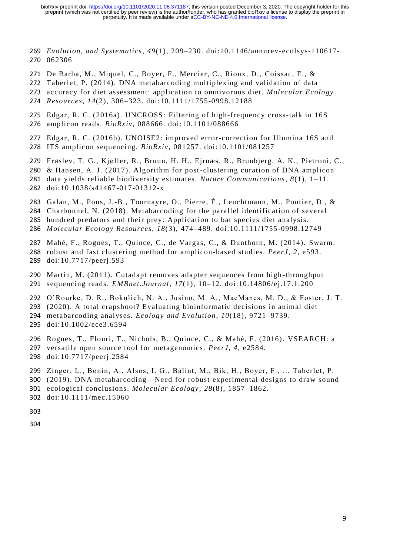*Evolution, and Systematics*, *49*(1), 209–230. doi:10.1146/annurev-ecolsys-110617- 062306

- De Barba, M., Miquel, C., Boyer, F., Mercier, C., Rioux, D., Coissac, E., &
- Taberlet, P. (2014). DNA metabarcoding multiplexing and validation of data
- accuracy for diet assessment: application to omnivorous diet. *Molecular Ecology Resources*, *14*(2), 306–323. doi:10.1111/1755-0998.12188
- 
- Edgar, R. C. (2016a). UNCROSS: Filtering of high-frequency cross-talk in 16S amplicon reads. *BioRxiv*, 088666. doi:10.1101/088666
- Edgar, R. C. (2016b). UNOISE2: improved error-correction for Illumina 16S and ITS amplicon sequencing. *BioRxiv*, 081257. doi:10.1101/081257
- Frøslev, T. G., Kjøller, R., Bruun, H. H., Ejrnæs, R., Brunbjerg, A. K., Pietroni, C.,
- & Hansen, A. J. (2017). Algorithm for post-clustering curation of DNA amplicon
- data yields reliable biodiversity estimates. *Nature Communications*, *8*(1), 1–11. doi:10.1038/s41467-017-01312-x
- Galan, M., Pons, J.-B., Tournayre, O., Pierre, É., Leuchtmann, M., Pontier, D., &
- Charbonnel, N. (2018). Metabarcoding for the parallel identification of several
- hundred predators and their prey: Application to bat species diet analysis.
- *Molecular Ecology Resources*, *18*(3), 474–489. doi:10.1111/1755-0998.12749
- Mahé, F., Rognes, T., Quince, C., de Vargas, C., & Dunthorn, M. (2014). Swarm: robust and fast clustering method for amplicon -based studies. *PeerJ*, *2*, e593. doi:10.7717/peerj.593
- Martin, M. (2011). Cutadapt removes adapter sequences from high -throughput sequencing reads. *EMBnet.Journal*, *17*(1), 10–12. doi:10.14806/ej.17.1.200
- O'Rourke, D. R., Bokulich, N. A., Jusino, M. A., MacManes, M. D., & Foster, J. T. (2020). A total crapshoot? Evaluating bioinformatic decisions in animal diet metabarcoding analyses. *Ecology and Evolution*, *10*(18), 9721–9739. doi:10.1002/ece3.6594
- 
- Rognes, T., Flouri, T., Nichols, B., Quince, C., & Mahé, F. (2016). VSEARCH: a versatile open source tool for metagenomics. *PeerJ*, *4*, e2584.
- doi:10.7717/peerj.2584
- Zinger, L., Bonin, A., Alsos, I. G., Bálint, M., Bik, H., Boyer, F., … Taberlet, P.
- (2019). DNA metabarcoding—Need for robust experimental designs to draw sound
- ecological conclusions. *Molecular Ecology* , *28*(8), 1857–1862.
- doi:10.1111/mec.15060
- 
-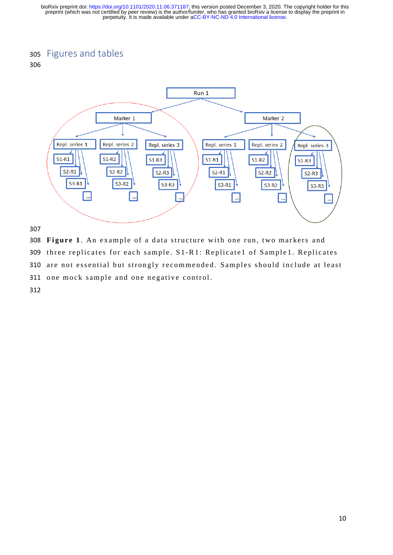# <sup>305</sup> Figures and tables

#### 306



307

308 Figure 1. An example of a data structure with one run, two markers and 309 three replicates for each sample. S1-R1: Replicate1 of Sample1. Replicates 310 are not essential but strongly recommended. Samples should include at least 311 one mock sample and one negative control.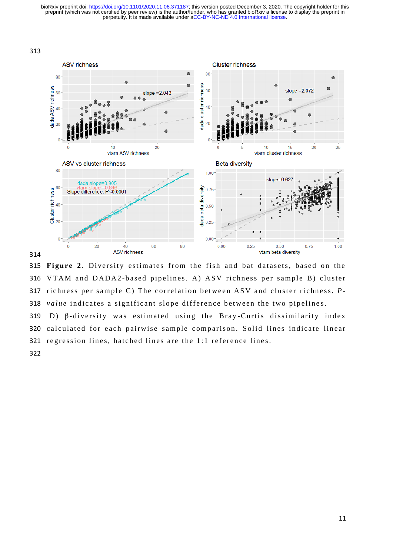313







319 D)  $\beta$ -diversity was estimated using the Bray-Curtis dissimilarity index 320 calculated for each pairwise sample comparison. Solid lines indicate linear 321 regression lines, hatched lines are the 1:1 reference lines.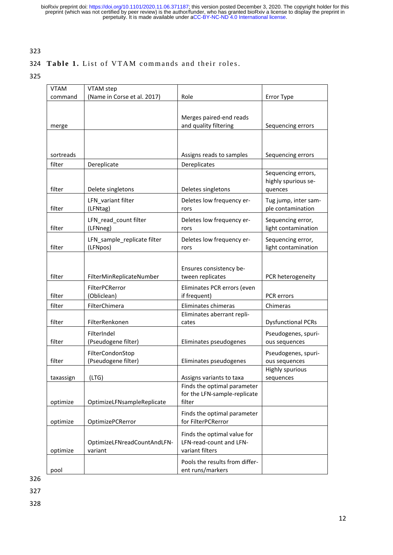## 323

### 324 Table 1. List of VTAM commands and their roles.

325

| <b>VTAM</b> | VTAM step                               |                                                             |                           |
|-------------|-----------------------------------------|-------------------------------------------------------------|---------------------------|
| command     | (Name in Corse et al. 2017)             | Role                                                        | Error Type                |
|             |                                         |                                                             |                           |
|             |                                         | Merges paired-end reads                                     |                           |
| merge       |                                         | and quality filtering                                       | Sequencing errors         |
|             |                                         |                                                             |                           |
|             |                                         |                                                             |                           |
| sortreads   |                                         | Assigns reads to samples                                    | Sequencing errors         |
| filter      | Dereplicate                             | Dereplicates                                                |                           |
|             |                                         |                                                             | Sequencing errors,        |
|             |                                         |                                                             | highly spurious se-       |
| filter      | Delete singletons<br>Deletes singletons |                                                             | quences                   |
|             | LFN variant filter                      | Deletes low frequency er-                                   | Tug jump, inter sam-      |
| filter      | (LFNtag)                                | rors                                                        | ple contamination         |
|             | LFN read count filter                   | Deletes low frequency er-                                   | Sequencing error,         |
| filter      | (LFNneg)                                | rors                                                        | light contamination       |
|             | LFN_sample_replicate filter             | Deletes low frequency er-                                   | Sequencing error,         |
| filter      | (LFNpos)                                | rors                                                        | light contamination       |
|             |                                         |                                                             |                           |
|             |                                         | Ensures consistency be-                                     |                           |
| filter      | FilterMinReplicateNumber                | tween replicates                                            | PCR heterogeneity         |
|             | FilterPCRerror                          | Eliminates PCR errors (even                                 |                           |
| filter      | (Obliclean)                             | if frequent)                                                | PCR errors                |
| filter      | FilterChimera                           | Eliminates chimeras                                         | Chimeras                  |
|             |                                         | Eliminates aberrant repli-                                  |                           |
| filter      | FilterRenkonen                          | cates                                                       | <b>Dysfunctional PCRs</b> |
|             | FilterIndel                             |                                                             | Pseudogenes, spuri-       |
| filter      | (Pseudogene filter)                     | Eliminates pseudogenes                                      | ous sequences             |
|             | FilterCondonStop                        |                                                             | Pseudogenes, spuri-       |
| filter      | (Pseudogene filter)                     | Eliminates pseudogenes                                      | ous sequences             |
|             |                                         |                                                             | <b>Highly spurious</b>    |
| taxassign   | (LTG)                                   | Assigns variants to taxa                                    | sequences                 |
|             |                                         | Finds the optimal parameter<br>for the LFN-sample-replicate |                           |
| optimize    | OptimizeLFNsampleReplicate              | filter                                                      |                           |
|             |                                         |                                                             |                           |
| optimize    | OptimizePCRerror                        | Finds the optimal parameter<br>for FilterPCRerror           |                           |
|             |                                         |                                                             |                           |
|             |                                         | Finds the optimal value for                                 |                           |
|             | OptimizeLFNreadCountAndLFN-             | LFN-read-count and LFN-                                     |                           |
| optimize    | variant                                 | variant filters                                             |                           |
|             |                                         | Pools the results from differ-                              |                           |
| pool        |                                         | ent runs/markers                                            |                           |

326

327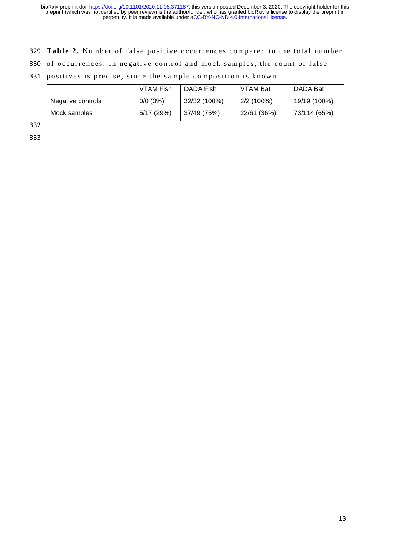- 329 Table 2. Number of false positive occurrences compared to the total number
- 330 of occurrences. In negative control and mock samples, the count of false
- 331 positives is precise, since the sample composition is known.

|                   | VTAM Fish  | DADA Fish    | <b>VTAM Bat</b> | DADA Bat     |
|-------------------|------------|--------------|-----------------|--------------|
| Negative controls | $0/0(0\%)$ | 32/32 (100%) | 2/2 (100%)      | 19/19 (100%) |
| Mock samples      | 5/17 (29%) | 37/49 (75%)  | 22/61 (36%)     | 73/114 (65%) |

332